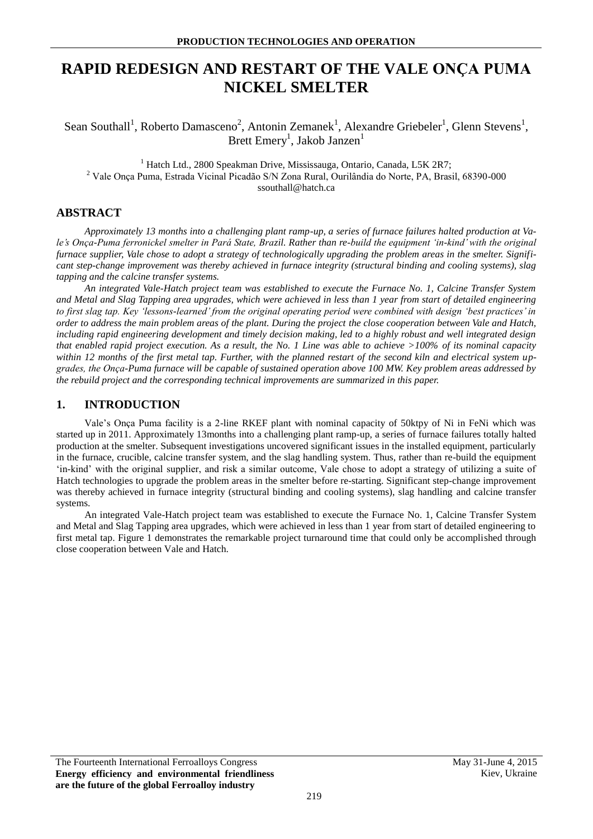# **RAPID REDESIGN AND RESTART OF THE VALE ONÇA PUMA NICKEL SMELTER**

Sean Southall<sup>1</sup>, Roberto Damasceno<sup>2</sup>, Antonin Zemanek<sup>1</sup>, Alexandre Griebeler<sup>1</sup>, Glenn Stevens<sup>1</sup>, Brett Emery<sup>1</sup>, Jakob Janzen<sup>1</sup>

<sup>1</sup> Hatch Ltd., 2800 Speakman Drive, Mississauga, Ontario, Canada, L5K 2R7; <sup>2</sup> Vale Onça Puma, Estrada Vicinal Picadão S/N Zona Rural, Ourilândia do Norte, PA, Brasil, 68390-000 ssouthall@hatch.ca

# **ABSTRACT**

*Approximately 13 months into a challenging plant ramp-up, a series of furnace failures halted production at Vale's Onça-Puma ferronickel smelter in Pará State, Brazil. Rather than re-build the equipment 'in-kind' with the original furnace supplier, Vale chose to adopt a strategy of technologically upgrading the problem areas in the smelter. Significant step-change improvement was thereby achieved in furnace integrity (structural binding and cooling systems), slag tapping and the calcine transfer systems.* 

*An integrated Vale-Hatch project team was established to execute the Furnace No. 1, Calcine Transfer System and Metal and Slag Tapping area upgrades, which were achieved in less than 1 year from start of detailed engineering to first slag tap. Key 'lessons-learned' from the original operating period were combined with design 'best practices' in order to address the main problem areas of the plant. During the project the close cooperation between Vale and Hatch, including rapid engineering development and timely decision making, led to a highly robust and well integrated design that enabled rapid project execution. As a result, the No. 1 Line was able to achieve >100% of its nominal capacity within 12 months of the first metal tap. Further, with the planned restart of the second kiln and electrical system upgrades, the Onça-Puma furnace will be capable of sustained operation above 100 MW. Key problem areas addressed by the rebuild project and the corresponding technical improvements are summarized in this paper.*

# **1. INTRODUCTION**

Vale's Onça Puma facility is a 2-line RKEF plant with nominal capacity of 50ktpy of Ni in FeNi which was started up in 2011. Approximately 13months into a challenging plant ramp-up, a series of furnace failures totally halted production at the smelter. Subsequent investigations uncovered significant issues in the installed equipment, particularly in the furnace, crucible, calcine transfer system, and the slag handling system. Thus, rather than re-build the equipment 'in-kind' with the original supplier, and risk a similar outcome, Vale chose to adopt a strategy of utilizing a suite of Hatch technologies to upgrade the problem areas in the smelter before re-starting. Significant step-change improvement was thereby achieved in furnace integrity (structural binding and cooling systems), slag handling and calcine transfer systems.

An integrated Vale-Hatch project team was established to execute the Furnace No. 1, Calcine Transfer System and Metal and Slag Tapping area upgrades, which were achieved in less than 1 year from start of detailed engineering to first metal tap. Figure 1 demonstrates the remarkable project turnaround time that could only be accomplished through close cooperation between Vale and Hatch.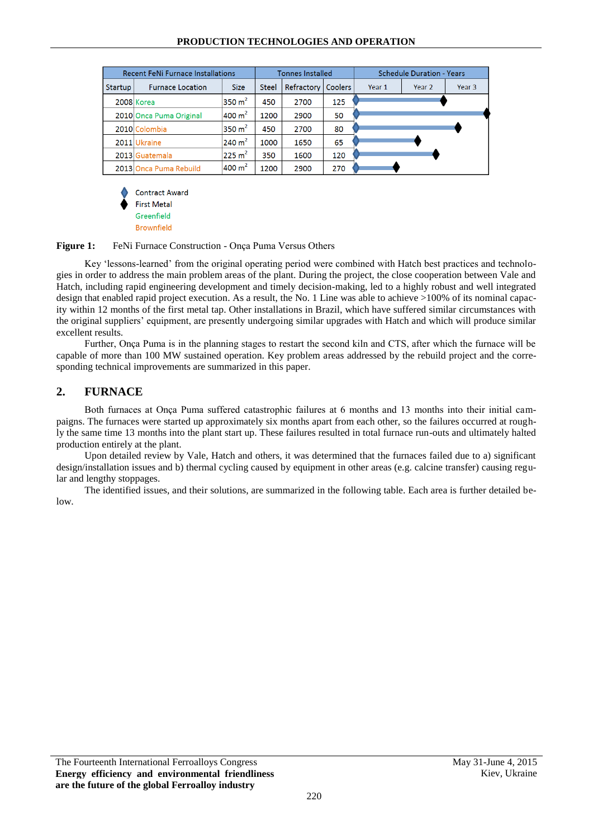| <b>Recent FeNi Furnace Installations</b> |                         |                    | <b>Tonnes Installed</b> |            |                | <b>Schedule Duration - Years</b> |        |        |
|------------------------------------------|-------------------------|--------------------|-------------------------|------------|----------------|----------------------------------|--------|--------|
| Startup                                  | <b>Furnace Location</b> | <b>Size</b>        | <b>Steel</b>            | Refractory | <b>Coolers</b> | Year 1                           | Year 2 | Year 3 |
|                                          | 2008 Korea              | 350 $m2$           | 450                     | 2700       | 125            |                                  |        |        |
|                                          | 2010 Onca Puma Original | $400 \text{ m}^2$  | 1200                    | 2900       | 50             |                                  |        |        |
|                                          | 2010 Colombia           | 350 $m2$           | 450                     | 2700       | 80             |                                  |        |        |
|                                          | 2011 Ukraine            | 240 $m2$           | 1000                    | 1650       | 65             |                                  |        |        |
|                                          | 2013 Guatemala          | 225 m <sup>2</sup> | 350                     | 1600       | 120            |                                  |        |        |
|                                          | 2013 Onca Puma Rebuild  | $400 \text{ m}^2$  | 1200                    | 2900       | 270            |                                  |        |        |



**Figure 1:** FeNi Furnace Construction - Onça Puma Versus Others

Key 'lessons-learned' from the original operating period were combined with Hatch best practices and technologies in order to address the main problem areas of the plant. During the project, the close cooperation between Vale and Hatch, including rapid engineering development and timely decision-making, led to a highly robust and well integrated design that enabled rapid project execution. As a result, the No. 1 Line was able to achieve >100% of its nominal capacity within 12 months of the first metal tap. Other installations in Brazil, which have suffered similar circumstances with the original suppliers' equipment, are presently undergoing similar upgrades with Hatch and which will produce similar excellent results.

Further, Onça Puma is in the planning stages to restart the second kiln and CTS, after which the furnace will be capable of more than 100 MW sustained operation. Key problem areas addressed by the rebuild project and the corresponding technical improvements are summarized in this paper.

# **2. FURNACE**

Both furnaces at Onça Puma suffered catastrophic failures at 6 months and 13 months into their initial campaigns. The furnaces were started up approximately six months apart from each other, so the failures occurred at roughly the same time 13 months into the plant start up. These failures resulted in total furnace run-outs and ultimately halted production entirely at the plant.

Upon detailed review by Vale, Hatch and others, it was determined that the furnaces failed due to a) significant design/installation issues and b) thermal cycling caused by equipment in other areas (e.g. calcine transfer) causing regular and lengthy stoppages.

The identified issues, and their solutions, are summarized in the following table. Each area is further detailed below.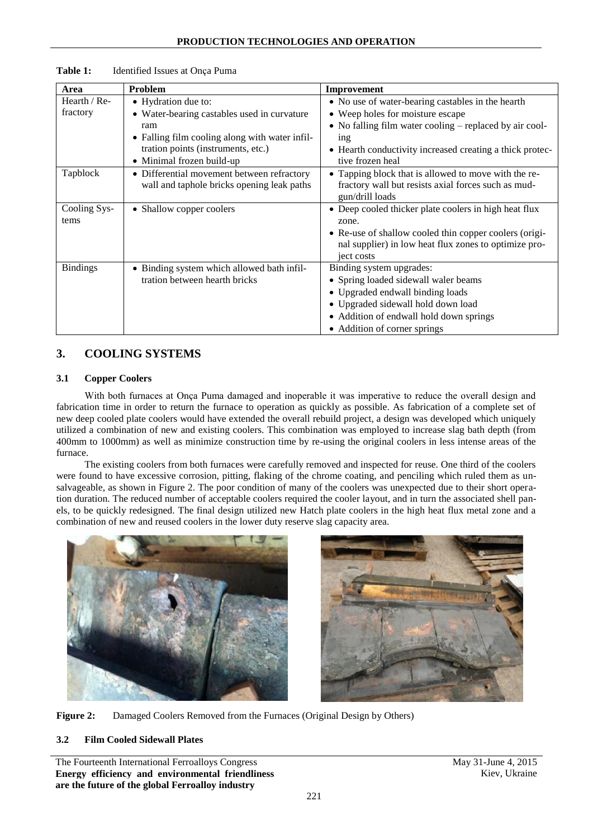| Area            | Problem                                        | Improvement                                               |
|-----------------|------------------------------------------------|-----------------------------------------------------------|
| Hearth / $Re-$  | • Hydration due to:                            | • No use of water-bearing castables in the hearth         |
| fractory        | • Water-bearing castables used in curvature    | • Weep holes for moisture escape                          |
|                 | ram                                            | • No falling film water cooling $-$ replaced by air cool- |
|                 | • Falling film cooling along with water infil- | ing                                                       |
|                 | tration points (instruments, etc.)             | • Hearth conductivity increased creating a thick protec-  |
|                 | • Minimal frozen build-up                      | tive frozen heal                                          |
| Tapblock        | • Differential movement between refractory     | • Tapping block that is allowed to move with the re-      |
|                 | wall and taphole bricks opening leak paths     | fractory wall but resists axial forces such as mud-       |
|                 |                                                | gun/drill loads                                           |
| Cooling Sys-    | • Shallow copper coolers                       | • Deep cooled thicker plate coolers in high heat flux     |
| tems            |                                                | zone.                                                     |
|                 |                                                | • Re-use of shallow cooled thin copper coolers (origi-    |
|                 |                                                | nal supplier) in low heat flux zones to optimize pro-     |
|                 |                                                | ject costs                                                |
| <b>Bindings</b> | Binding system which allowed bath infil-       | Binding system upgrades:                                  |
|                 | tration between hearth bricks                  | • Spring loaded sidewall waler beams                      |
|                 |                                                | • Upgraded endwall binding loads                          |
|                 |                                                | • Upgraded sidewall hold down load                        |
|                 |                                                | • Addition of endwall hold down springs                   |
|                 |                                                | • Addition of corner springs                              |

**Table 1:** Identified Issues at Onça Puma

# **3. COOLING SYSTEMS**

### **3.1 Copper Coolers**

With both furnaces at Onça Puma damaged and inoperable it was imperative to reduce the overall design and fabrication time in order to return the furnace to operation as quickly as possible. As fabrication of a complete set of new deep cooled plate coolers would have extended the overall rebuild project, a design was developed which uniquely utilized a combination of new and existing coolers. This combination was employed to increase slag bath depth (from 400mm to 1000mm) as well as minimize construction time by re-using the original coolers in less intense areas of the furnace.

The existing coolers from both furnaces were carefully removed and inspected for reuse. One third of the coolers were found to have excessive corrosion, pitting, flaking of the chrome coating, and penciling which ruled them as unsalvageable, as shown in Figure 2. The poor condition of many of the coolers was unexpected due to their short operation duration. The reduced number of acceptable coolers required the cooler layout, and in turn the associated shell panels, to be quickly redesigned. The final design utilized new Hatch plate coolers in the high heat flux metal zone and a combination of new and reused coolers in the lower duty reserve slag capacity area.





### **3.2 Film Cooled Sidewall Plates**

The Fourteenth International Ferroalloys Congress May 31-June 4, 2015 **Energy efficiency and environmental friendliness are the future of the global Ferroalloy industry**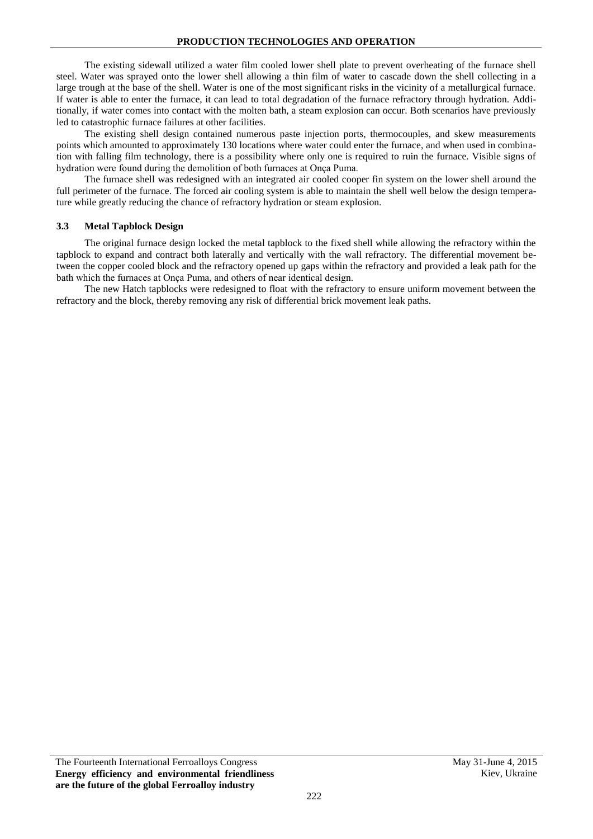The existing sidewall utilized a water film cooled lower shell plate to prevent overheating of the furnace shell steel. Water was sprayed onto the lower shell allowing a thin film of water to cascade down the shell collecting in a large trough at the base of the shell. Water is one of the most significant risks in the vicinity of a metallurgical furnace. If water is able to enter the furnace, it can lead to total degradation of the furnace refractory through hydration. Additionally, if water comes into contact with the molten bath, a steam explosion can occur. Both scenarios have previously led to catastrophic furnace failures at other facilities.

The existing shell design contained numerous paste injection ports, thermocouples, and skew measurements points which amounted to approximately 130 locations where water could enter the furnace, and when used in combination with falling film technology, there is a possibility where only one is required to ruin the furnace. Visible signs of hydration were found during the demolition of both furnaces at Onça Puma.

The furnace shell was redesigned with an integrated air cooled cooper fin system on the lower shell around the full perimeter of the furnace. The forced air cooling system is able to maintain the shell well below the design temperature while greatly reducing the chance of refractory hydration or steam explosion.

#### **3.3 Metal Tapblock Design**

The original furnace design locked the metal tapblock to the fixed shell while allowing the refractory within the tapblock to expand and contract both laterally and vertically with the wall refractory. The differential movement between the copper cooled block and the refractory opened up gaps within the refractory and provided a leak path for the bath which the furnaces at Onça Puma, and others of near identical design.

The new Hatch tapblocks were redesigned to float with the refractory to ensure uniform movement between the refractory and the block, thereby removing any risk of differential brick movement leak paths.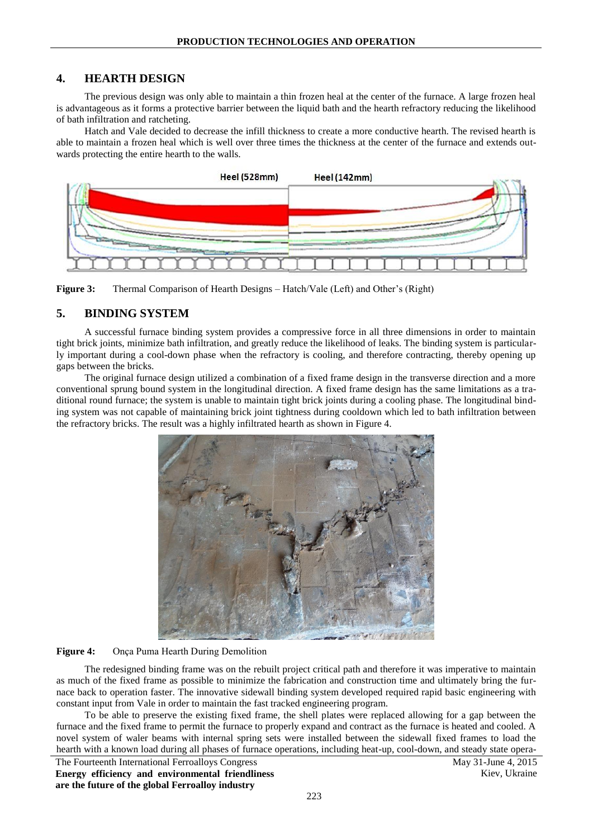## **4. HEARTH DESIGN**

The previous design was only able to maintain a thin frozen heal at the center of the furnace. A large frozen heal is advantageous as it forms a protective barrier between the liquid bath and the hearth refractory reducing the likelihood of bath infiltration and ratcheting.

Hatch and Vale decided to decrease the infill thickness to create a more conductive hearth. The revised hearth is able to maintain a frozen heal which is well over three times the thickness at the center of the furnace and extends outwards protecting the entire hearth to the walls.





## **5. BINDING SYSTEM**

A successful furnace binding system provides a compressive force in all three dimensions in order to maintain tight brick joints, minimize bath infiltration, and greatly reduce the likelihood of leaks. The binding system is particularly important during a cool-down phase when the refractory is cooling, and therefore contracting, thereby opening up gaps between the bricks.

The original furnace design utilized a combination of a fixed frame design in the transverse direction and a more conventional sprung bound system in the longitudinal direction. A fixed frame design has the same limitations as a traditional round furnace; the system is unable to maintain tight brick joints during a cooling phase. The longitudinal binding system was not capable of maintaining brick joint tightness during cooldown which led to bath infiltration between the refractory bricks. The result was a highly infiltrated hearth as shown in Figure 4.



#### **Figure 4:** Onça Puma Hearth During Demolition

The redesigned binding frame was on the rebuilt project critical path and therefore it was imperative to maintain as much of the fixed frame as possible to minimize the fabrication and construction time and ultimately bring the furnace back to operation faster. The innovative sidewall binding system developed required rapid basic engineering with constant input from Vale in order to maintain the fast tracked engineering program.

To be able to preserve the existing fixed frame, the shell plates were replaced allowing for a gap between the furnace and the fixed frame to permit the furnace to properly expand and contract as the furnace is heated and cooled. A novel system of waler beams with internal spring sets were installed between the sidewall fixed frames to load the hearth with a known load during all phases of furnace operations, including heat-up, cool-down, and steady state opera-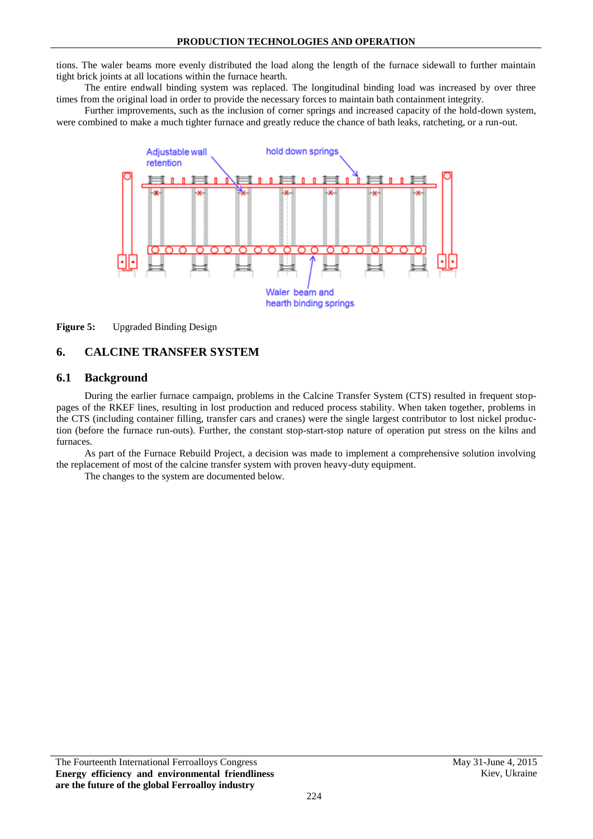tions. The waler beams more evenly distributed the load along the length of the furnace sidewall to further maintain tight brick joints at all locations within the furnace hearth.

The entire endwall binding system was replaced. The longitudinal binding load was increased by over three times from the original load in order to provide the necessary forces to maintain bath containment integrity.

Further improvements, such as the inclusion of corner springs and increased capacity of the hold-down system, were combined to make a much tighter furnace and greatly reduce the chance of bath leaks, ratcheting, or a run-out.





# **6. CALCINE TRANSFER SYSTEM**

## **6.1 Background**

During the earlier furnace campaign, problems in the Calcine Transfer System (CTS) resulted in frequent stoppages of the RKEF lines, resulting in lost production and reduced process stability. When taken together, problems in the CTS (including container filling, transfer cars and cranes) were the single largest contributor to lost nickel production (before the furnace run-outs). Further, the constant stop-start-stop nature of operation put stress on the kilns and furnaces.

As part of the Furnace Rebuild Project, a decision was made to implement a comprehensive solution involving the replacement of most of the calcine transfer system with proven heavy-duty equipment.

The changes to the system are documented below.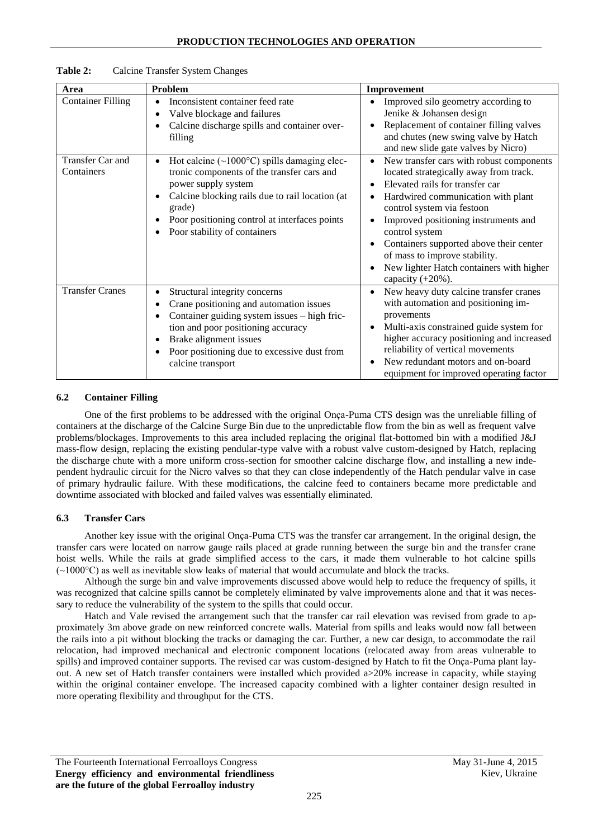| Area                           | Problem                                                                                                                                                                                                                                                                                  | Improvement                                                                                                                                                                                                                                                                                                                                                                                                      |
|--------------------------------|------------------------------------------------------------------------------------------------------------------------------------------------------------------------------------------------------------------------------------------------------------------------------------------|------------------------------------------------------------------------------------------------------------------------------------------------------------------------------------------------------------------------------------------------------------------------------------------------------------------------------------------------------------------------------------------------------------------|
| <b>Container Filling</b>       | Inconsistent container feed rate<br>Valve blockage and failures<br>٠<br>Calcine discharge spills and container over-<br>filling                                                                                                                                                          | Improved silo geometry according to<br>Jenike & Johansen design<br>Replacement of container filling valves<br>and chutes (new swing valve by Hatch<br>and new slide gate valves by Nicro)                                                                                                                                                                                                                        |
| Transfer Car and<br>Containers | Hot calcine $(\sim 1000^{\circ}C)$ spills damaging elec-<br>$\bullet$<br>tronic components of the transfer cars and<br>power supply system<br>Calcine blocking rails due to rail location (at<br>grade)<br>Poor positioning control at interfaces points<br>Poor stability of containers | New transfer cars with robust components<br>$\bullet$<br>located strategically away from track.<br>Elevated rails for transfer car<br>Hardwired communication with plant<br>control system via festoon<br>Improved positioning instruments and<br>control system<br>Containers supported above their center<br>of mass to improve stability.<br>New lighter Hatch containers with higher<br>capacity $(+20\%)$ . |
| <b>Transfer Cranes</b>         | Structural integrity concerns<br>$\bullet$<br>Crane positioning and automation issues<br>Container guiding system issues - high fric-<br>tion and poor positioning accuracy<br>Brake alignment issues<br>Poor positioning due to excessive dust from<br>calcine transport                | New heavy duty calcine transfer cranes<br>with automation and positioning im-<br>provements<br>Multi-axis constrained guide system for<br>higher accuracy positioning and increased<br>reliability of vertical movements<br>New redundant motors and on-board<br>equipment for improved operating factor                                                                                                         |

**Table 2:** Calcine Transfer System Changes

## **6.2 Container Filling**

One of the first problems to be addressed with the original Onça-Puma CTS design was the unreliable filling of containers at the discharge of the Calcine Surge Bin due to the unpredictable flow from the bin as well as frequent valve problems/blockages. Improvements to this area included replacing the original flat-bottomed bin with a modified J&J mass-flow design, replacing the existing pendular-type valve with a robust valve custom-designed by Hatch, replacing the discharge chute with a more uniform cross-section for smoother calcine discharge flow, and installing a new independent hydraulic circuit for the Nicro valves so that they can close independently of the Hatch pendular valve in case of primary hydraulic failure. With these modifications, the calcine feed to containers became more predictable and downtime associated with blocked and failed valves was essentially eliminated.

#### **6.3 Transfer Cars**

Another key issue with the original Onça-Puma CTS was the transfer car arrangement. In the original design, the transfer cars were located on narrow gauge rails placed at grade running between the surge bin and the transfer crane hoist wells. While the rails at grade simplified access to the cars, it made them vulnerable to hot calcine spills (~1000°C) as well as inevitable slow leaks of material that would accumulate and block the tracks.

Although the surge bin and valve improvements discussed above would help to reduce the frequency of spills, it was recognized that calcine spills cannot be completely eliminated by valve improvements alone and that it was necessary to reduce the vulnerability of the system to the spills that could occur.

Hatch and Vale revised the arrangement such that the transfer car rail elevation was revised from grade to approximately 3m above grade on new reinforced concrete walls. Material from spills and leaks would now fall between the rails into a pit without blocking the tracks or damaging the car. Further, a new car design, to accommodate the rail relocation, had improved mechanical and electronic component locations (relocated away from areas vulnerable to spills) and improved container supports. The revised car was custom-designed by Hatch to fit the Onça-Puma plant layout. A new set of Hatch transfer containers were installed which provided  $a > 20\%$  increase in capacity, while staying within the original container envelope. The increased capacity combined with a lighter container design resulted in more operating flexibility and throughput for the CTS.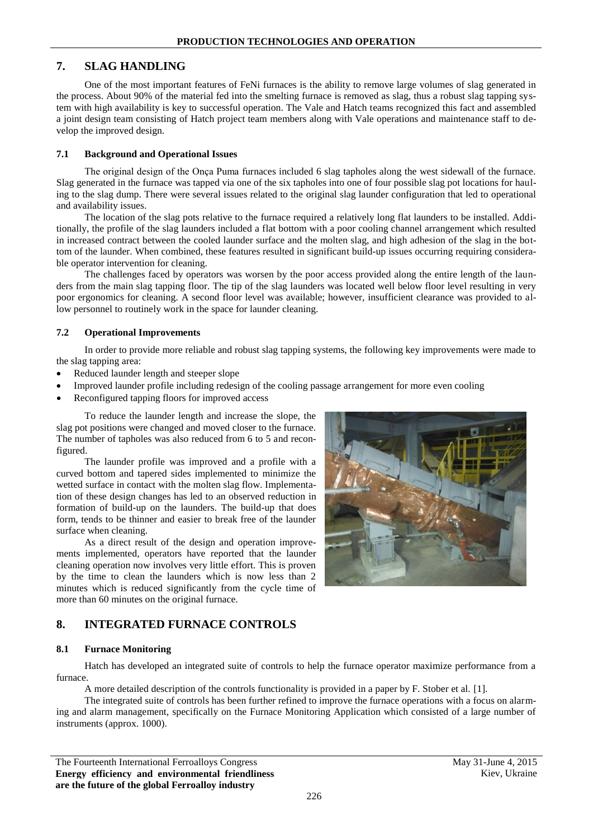## **7. SLAG HANDLING**

One of the most important features of FeNi furnaces is the ability to remove large volumes of slag generated in the process. About 90% of the material fed into the smelting furnace is removed as slag, thus a robust slag tapping system with high availability is key to successful operation. The Vale and Hatch teams recognized this fact and assembled a joint design team consisting of Hatch project team members along with Vale operations and maintenance staff to develop the improved design.

## **7.1 Background and Operational Issues**

The original design of the Onça Puma furnaces included 6 slag tapholes along the west sidewall of the furnace. Slag generated in the furnace was tapped via one of the six tapholes into one of four possible slag pot locations for hauling to the slag dump. There were several issues related to the original slag launder configuration that led to operational and availability issues.

The location of the slag pots relative to the furnace required a relatively long flat launders to be installed. Additionally, the profile of the slag launders included a flat bottom with a poor cooling channel arrangement which resulted in increased contract between the cooled launder surface and the molten slag, and high adhesion of the slag in the bottom of the launder. When combined, these features resulted in significant build-up issues occurring requiring considerable operator intervention for cleaning.

The challenges faced by operators was worsen by the poor access provided along the entire length of the launders from the main slag tapping floor. The tip of the slag launders was located well below floor level resulting in very poor ergonomics for cleaning. A second floor level was available; however, insufficient clearance was provided to allow personnel to routinely work in the space for launder cleaning.

### **7.2 Operational Improvements**

In order to provide more reliable and robust slag tapping systems, the following key improvements were made to the slag tapping area:

- Reduced launder length and steeper slope
- Improved launder profile including redesign of the cooling passage arrangement for more even cooling
- Reconfigured tapping floors for improved access

To reduce the launder length and increase the slope, the slag pot positions were changed and moved closer to the furnace. The number of tapholes was also reduced from 6 to 5 and reconfigured.

The launder profile was improved and a profile with a curved bottom and tapered sides implemented to minimize the wetted surface in contact with the molten slag flow. Implementation of these design changes has led to an observed reduction in formation of build-up on the launders. The build-up that does form, tends to be thinner and easier to break free of the launder surface when cleaning.

As a direct result of the design and operation improvements implemented, operators have reported that the launder cleaning operation now involves very little effort. This is proven by the time to clean the launders which is now less than 2 minutes which is reduced significantly from the cycle time of more than 60 minutes on the original furnace.

# **8. INTEGRATED FURNACE CONTROLS**

#### **8.1 Furnace Monitoring**

Hatch has developed an integrated suite of controls to help the furnace operator maximize performance from a furnace.

A more detailed description of the controls functionality is provided in a paper by F. Stober et al. [1].

The integrated suite of controls has been further refined to improve the furnace operations with a focus on alarming and alarm management, specifically on the Furnace Monitoring Application which consisted of a large number of instruments (approx. 1000).

The Fourteenth International Ferroalloys Congress May 31-June 4, 2015 **Energy efficiency and environmental friendliness are the future of the global Ferroalloy industry**

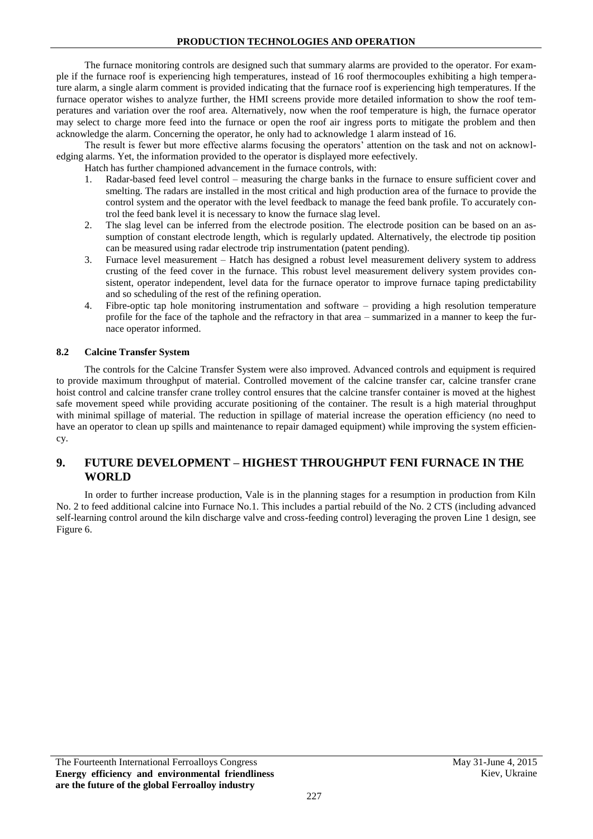The furnace monitoring controls are designed such that summary alarms are provided to the operator. For example if the furnace roof is experiencing high temperatures, instead of 16 roof thermocouples exhibiting a high temperature alarm, a single alarm comment is provided indicating that the furnace roof is experiencing high temperatures. If the furnace operator wishes to analyze further, the HMI screens provide more detailed information to show the roof temperatures and variation over the roof area. Alternatively, now when the roof temperature is high, the furnace operator may select to charge more feed into the furnace or open the roof air ingress ports to mitigate the problem and then acknowledge the alarm. Concerning the operator, he only had to acknowledge 1 alarm instead of 16.

The result is fewer but more effective alarms focusing the operators' attention on the task and not on acknowledging alarms. Yet, the information provided to the operator is displayed more eefectively.

Hatch has further championed advancement in the furnace controls, with:

- 1. Radar-based feed level control measuring the charge banks in the furnace to ensure sufficient cover and smelting. The radars are installed in the most critical and high production area of the furnace to provide the control system and the operator with the level feedback to manage the feed bank profile. To accurately control the feed bank level it is necessary to know the furnace slag level.
- 2. The slag level can be inferred from the electrode position. The electrode position can be based on an assumption of constant electrode length, which is regularly updated. Alternatively, the electrode tip position can be measured using radar electrode trip instrumentation (patent pending).
- 3. Furnace level measurement Hatch has designed a robust level measurement delivery system to address crusting of the feed cover in the furnace. This robust level measurement delivery system provides consistent, operator independent, level data for the furnace operator to improve furnace taping predictability and so scheduling of the rest of the refining operation.
- 4. Fibre-optic tap hole monitoring instrumentation and software providing a high resolution temperature profile for the face of the taphole and the refractory in that area – summarized in a manner to keep the furnace operator informed.

### **8.2 Calcine Transfer System**

The controls for the Calcine Transfer System were also improved. Advanced controls and equipment is required to provide maximum throughput of material. Controlled movement of the calcine transfer car, calcine transfer crane hoist control and calcine transfer crane trolley control ensures that the calcine transfer container is moved at the highest safe movement speed while providing accurate positioning of the container. The result is a high material throughput with minimal spillage of material. The reduction in spillage of material increase the operation efficiency (no need to have an operator to clean up spills and maintenance to repair damaged equipment) while improving the system efficiency.

# **9. FUTURE DEVELOPMENT – HIGHEST THROUGHPUT FENI FURNACE IN THE WORLD**

In order to further increase production, Vale is in the planning stages for a resumption in production from Kiln No. 2 to feed additional calcine into Furnace No.1. This includes a partial rebuild of the No. 2 CTS (including advanced self-learning control around the kiln discharge valve and cross-feeding control) leveraging the proven Line 1 design, see Figure 6.